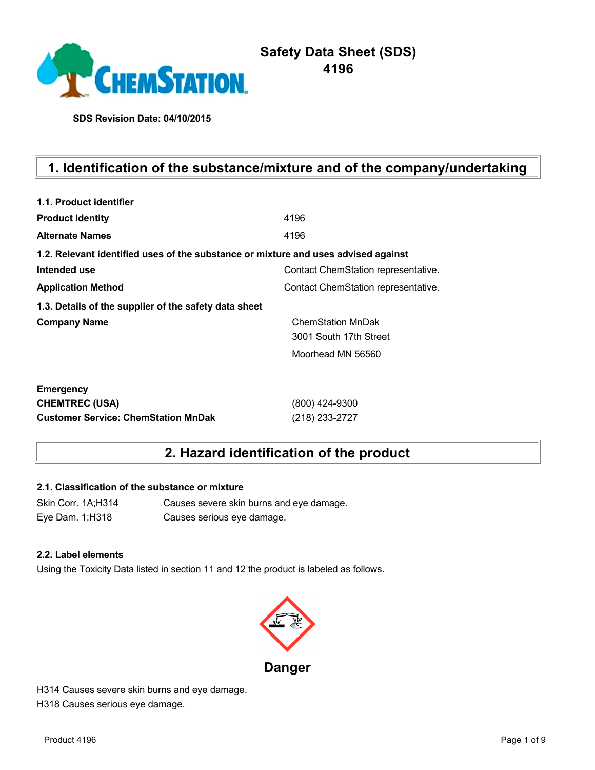

# **Safety Data Sheet (SDS) 4196**

**SDS Revision Date: 04/10/2015**

# **1. Identification of the substance/mixture and of the company/undertaking**

| 1.1. Product identifier                                                            |                                     |
|------------------------------------------------------------------------------------|-------------------------------------|
| <b>Product Identity</b>                                                            | 4196                                |
| <b>Alternate Names</b>                                                             | 4196                                |
| 1.2. Relevant identified uses of the substance or mixture and uses advised against |                                     |
| Intended use                                                                       | Contact ChemStation representative. |
| <b>Application Method</b>                                                          | Contact ChemStation representative. |
| 1.3. Details of the supplier of the safety data sheet                              |                                     |
| <b>Company Name</b>                                                                | <b>ChemStation MnDak</b>            |
|                                                                                    | 3001 South 17th Street              |
|                                                                                    | Moorhead MN 56560                   |
| <b>Emergency</b>                                                                   |                                     |
| <b>CHEMTREC (USA)</b>                                                              | (800) 424-9300                      |
| <b>Customer Service: ChemStation MnDak</b>                                         | (218) 233-2727                      |

## **2. Hazard identification of the product**

## **2.1. Classification of the substance or mixture**

Skin Corr. 1A;H314 Causes severe skin burns and eye damage. Eye Dam. 1;H318 Causes serious eye damage.

#### **2.2. Label elements**

Using the Toxicity Data listed in section 11 and 12 the product is labeled as follows.



H314 Causes severe skin burns and eye damage. H318 Causes serious eye damage.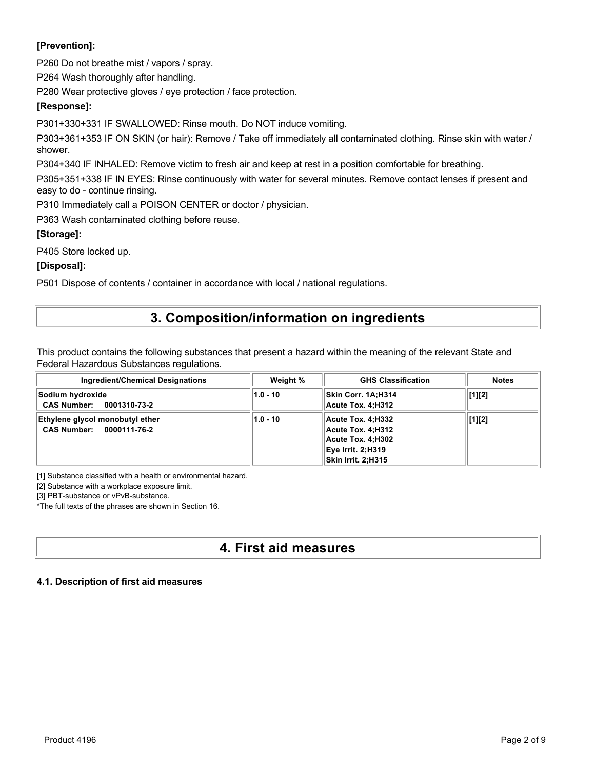## **[Prevention]:**

P260 Do not breathe mist / vapors / spray.

P264 Wash thoroughly after handling.

P280 Wear protective gloves / eye protection / face protection.

## **[Response]:**

P301+330+331 IF SWALLOWED: Rinse mouth. Do NOT induce vomiting.

P303+361+353 IF ON SKIN (or hair): Remove / Take off immediately all contaminated clothing. Rinse skin with water / shower.

P304+340 IF INHALED: Remove victim to fresh air and keep at rest in a position comfortable for breathing.

P305+351+338 IF IN EYES: Rinse continuously with water for several minutes. Remove contact lenses if present and easy to do - continue rinsing.

P310 Immediately call a POISON CENTER or doctor / physician.

P363 Wash contaminated clothing before reuse.

## **[Storage]:**

P405 Store locked up.

## **[Disposal]:**

P501 Dispose of contents / container in accordance with local / national regulations.

## **3. Composition/information on ingredients**

This product contains the following substances that present a hazard within the meaning of the relevant State and Federal Hazardous Substances regulations.

| <b>Ingredient/Chemical Designations</b>                     | Weight %   | <b>GHS Classification</b>                                                                              | <b>Notes</b> |
|-------------------------------------------------------------|------------|--------------------------------------------------------------------------------------------------------|--------------|
| Sodium hydroxide<br>CAS Number: 0001310-73-2                | $1.0 - 10$ | Skin Corr. 1A:H314<br>Acute Tox. 4:H312                                                                | [1][2]       |
| Ethylene glycol monobutyl ether<br>CAS Number: 0000111-76-2 | $1.0 - 10$ | Acute Tox. 4:H332<br>Acute Tox. 4:H312<br>Acute Tox. 4:H302<br>Eye Irrit. 2:H319<br>Skin Irrit. 2;H315 | [1][2]       |

[1] Substance classified with a health or environmental hazard.

[2] Substance with a workplace exposure limit.

[3] PBT-substance or vPvB-substance.

\*The full texts of the phrases are shown in Section 16.

# **4. First aid measures**

## **4.1. Description of first aid measures**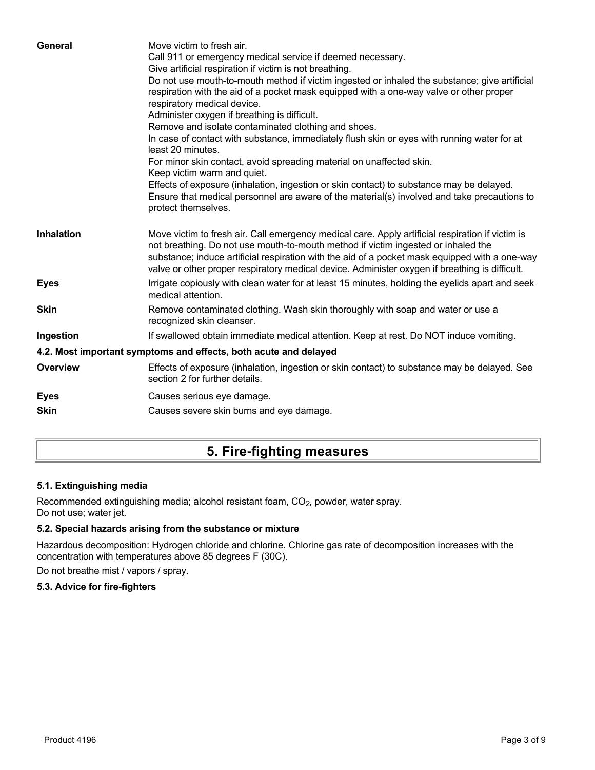| General           | Move victim to fresh air.<br>Call 911 or emergency medical service if deemed necessary.<br>Give artificial respiration if victim is not breathing.<br>Do not use mouth-to-mouth method if victim ingested or inhaled the substance; give artificial<br>respiration with the aid of a pocket mask equipped with a one-way valve or other proper<br>respiratory medical device.<br>Administer oxygen if breathing is difficult.<br>Remove and isolate contaminated clothing and shoes.<br>In case of contact with substance, immediately flush skin or eyes with running water for at<br>least 20 minutes.<br>For minor skin contact, avoid spreading material on unaffected skin.<br>Keep victim warm and quiet.<br>Effects of exposure (inhalation, ingestion or skin contact) to substance may be delayed.<br>Ensure that medical personnel are aware of the material(s) involved and take precautions to<br>protect themselves. |
|-------------------|-----------------------------------------------------------------------------------------------------------------------------------------------------------------------------------------------------------------------------------------------------------------------------------------------------------------------------------------------------------------------------------------------------------------------------------------------------------------------------------------------------------------------------------------------------------------------------------------------------------------------------------------------------------------------------------------------------------------------------------------------------------------------------------------------------------------------------------------------------------------------------------------------------------------------------------|
| <b>Inhalation</b> | Move victim to fresh air. Call emergency medical care. Apply artificial respiration if victim is<br>not breathing. Do not use mouth-to-mouth method if victim ingested or inhaled the<br>substance; induce artificial respiration with the aid of a pocket mask equipped with a one-way<br>valve or other proper respiratory medical device. Administer oxygen if breathing is difficult.                                                                                                                                                                                                                                                                                                                                                                                                                                                                                                                                         |
| <b>Eyes</b>       | Irrigate copiously with clean water for at least 15 minutes, holding the eyelids apart and seek<br>medical attention.                                                                                                                                                                                                                                                                                                                                                                                                                                                                                                                                                                                                                                                                                                                                                                                                             |
| <b>Skin</b>       | Remove contaminated clothing. Wash skin thoroughly with soap and water or use a<br>recognized skin cleanser.                                                                                                                                                                                                                                                                                                                                                                                                                                                                                                                                                                                                                                                                                                                                                                                                                      |
| Ingestion         | If swallowed obtain immediate medical attention. Keep at rest. Do NOT induce vomiting.                                                                                                                                                                                                                                                                                                                                                                                                                                                                                                                                                                                                                                                                                                                                                                                                                                            |
|                   | 4.2. Most important symptoms and effects, both acute and delayed                                                                                                                                                                                                                                                                                                                                                                                                                                                                                                                                                                                                                                                                                                                                                                                                                                                                  |
| <b>Overview</b>   | Effects of exposure (inhalation, ingestion or skin contact) to substance may be delayed. See<br>section 2 for further details.                                                                                                                                                                                                                                                                                                                                                                                                                                                                                                                                                                                                                                                                                                                                                                                                    |
| <b>Eyes</b>       | Causes serious eye damage.                                                                                                                                                                                                                                                                                                                                                                                                                                                                                                                                                                                                                                                                                                                                                                                                                                                                                                        |
| <b>Skin</b>       | Causes severe skin burns and eye damage.                                                                                                                                                                                                                                                                                                                                                                                                                                                                                                                                                                                                                                                                                                                                                                                                                                                                                          |
|                   |                                                                                                                                                                                                                                                                                                                                                                                                                                                                                                                                                                                                                                                                                                                                                                                                                                                                                                                                   |

# **5. Fire-fighting measures**

## **5.1. Extinguishing media**

Recommended extinguishing media; alcohol resistant foam, CO<sub>2</sub>, powder, water spray. Do not use; water jet.

## **5.2. Special hazards arising from the substance or mixture**

Hazardous decomposition: Hydrogen chloride and chlorine. Chlorine gas rate of decomposition increases with the concentration with temperatures above 85 degrees F (30C).

Do not breathe mist / vapors / spray.

## **5.3. Advice for fire-fighters**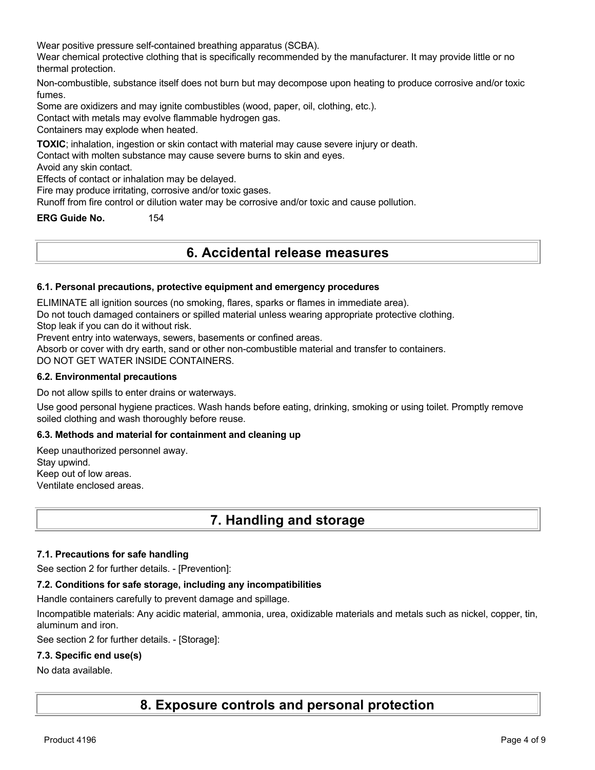Wear positive pressure self-contained breathing apparatus (SCBA).

Wear chemical protective clothing that is specifically recommended by the manufacturer. It may provide little or no thermal protection.

Non-combustible, substance itself does not burn but may decompose upon heating to produce corrosive and/or toxic fumes.

Some are oxidizers and may ignite combustibles (wood, paper, oil, clothing, etc.).

Contact with metals may evolve flammable hydrogen gas.

Containers may explode when heated.

**TOXIC**; inhalation, ingestion or skin contact with material may cause severe injury or death.

Contact with molten substance may cause severe burns to skin and eyes.

Avoid any skin contact.

Effects of contact or inhalation may be delayed.

Fire may produce irritating, corrosive and/or toxic gases.

Runoff from fire control or dilution water may be corrosive and/or toxic and cause pollution.

**ERG Guide No.** 154

## **6. Accidental release measures**

#### **6.1. Personal precautions, protective equipment and emergency procedures**

ELIMINATE all ignition sources (no smoking, flares, sparks or flames in immediate area).

Do not touch damaged containers or spilled material unless wearing appropriate protective clothing.

Stop leak if you can do it without risk.

Prevent entry into waterways, sewers, basements or confined areas.

Absorb or cover with dry earth, sand or other non-combustible material and transfer to containers.

DO NOT GET WATER INSIDE CONTAINERS.

#### **6.2. Environmental precautions**

Do not allow spills to enter drains or waterways.

Use good personal hygiene practices. Wash hands before eating, drinking, smoking or using toilet. Promptly remove soiled clothing and wash thoroughly before reuse.

#### **6.3. Methods and material for containment and cleaning up**

Keep unauthorized personnel away. Stay upwind. Keep out of low areas. Ventilate enclosed areas.

## **7. Handling and storage**

#### **7.1. Precautions for safe handling**

See section 2 for further details. - [Prevention]:

#### **7.2. Conditions for safe storage, including any incompatibilities**

Handle containers carefully to prevent damage and spillage.

Incompatible materials: Any acidic material, ammonia, urea, oxidizable materials and metals such as nickel, copper, tin, aluminum and iron.

See section 2 for further details. - [Storage]:

#### **7.3. Specific end use(s)**

#### No data available.

**8. Exposure controls and personal protection**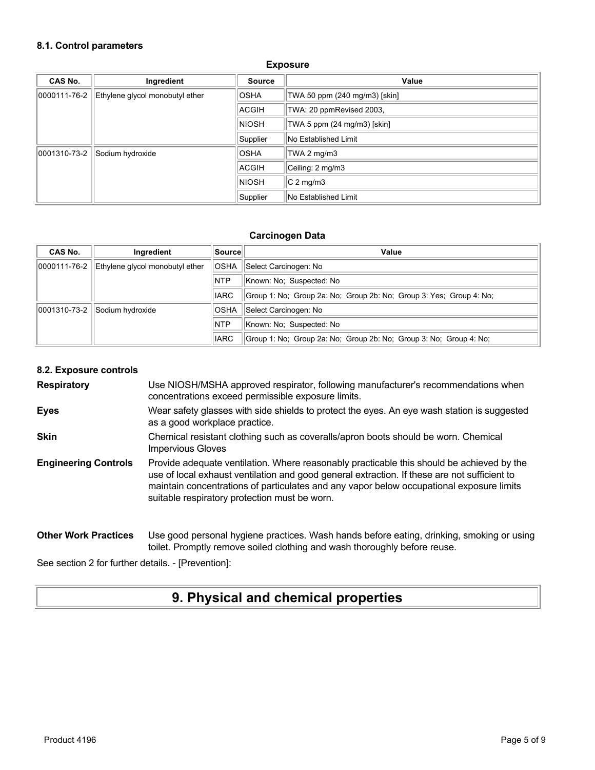#### **8.1. Control parameters**

| CAS No.      | Ingredient                      | <b>Source</b> | Value                         |
|--------------|---------------------------------|---------------|-------------------------------|
| 0000111-76-2 | Ethylene glycol monobutyl ether | <b>OSHA</b>   | TWA 50 ppm (240 mg/m3) [skin] |
|              |                                 | ACGIH         | TWA: 20 ppmRevised 2003,      |
|              |                                 | <b>NIOSH</b>  | TWA 5 ppm (24 mg/m3) [skin]   |
|              |                                 | Supplier      | No Established Limit          |
| 0001310-73-2 | Sodium hydroxide                | <b>OSHA</b>   | TWA 2 mg/m3                   |
|              |                                 | <b>ACGIH</b>  | Ceiling: 2 mg/m3              |
|              |                                 | <b>NIOSH</b>  | $C2$ mg/m3                    |
|              |                                 | Supplier      | No Established Limit          |

#### **Exposure**

#### **Carcinogen Data**

| CAS No.      | Ingredient                      | ∣Source∣    | Value                                                               |
|--------------|---------------------------------|-------------|---------------------------------------------------------------------|
| 0000111-76-2 | Ethylene givcol monobutyl ether | <b>OSHA</b> | Select Carcinogen: No                                               |
|              |                                 | <b>NTP</b>  | Known: No: Suspected: No                                            |
|              |                                 | <b>IARC</b> | Group 1: No; Group 2a: No; Group 2b: No; Group 3: Yes; Group 4: No; |
| 0001310-73-2 | Sodium hydroxide                | <b>OSHA</b> | Select Carcinogen: No                                               |
|              |                                 | <b>NTP</b>  | Known: No: Suspected: No                                            |
|              |                                 | <b>IARC</b> | Group 1: No; Group 2a: No; Group 2b: No; Group 3: No; Group 4: No;  |

#### **8.2. Exposure controls**

**Respiratory** Use NIOSH/MSHA approved respirator, following manufacturer's recommendations when concentrations exceed permissible exposure limits.

- **Eyes** Wear safety glasses with side shields to protect the eyes. An eye wash station is suggested as a good workplace practice.
- **Skin** Chemical resistant clothing such as coveralls/apron boots should be worn. Chemical Impervious Gloves
- **Engineering Controls** Provide adequate ventilation. Where reasonably practicable this should be achieved by the use of local exhaust ventilation and good general extraction. If these are not sufficient to maintain concentrations of particulates and any vapor below occupational exposure limits suitable respiratory protection must be worn.

#### **Other Work Practices** Use good personal hygiene practices. Wash hands before eating, drinking, smoking or using toilet. Promptly remove soiled clothing and wash thoroughly before reuse.

See section 2 for further details. - [Prevention]:

## **9. Physical and chemical properties**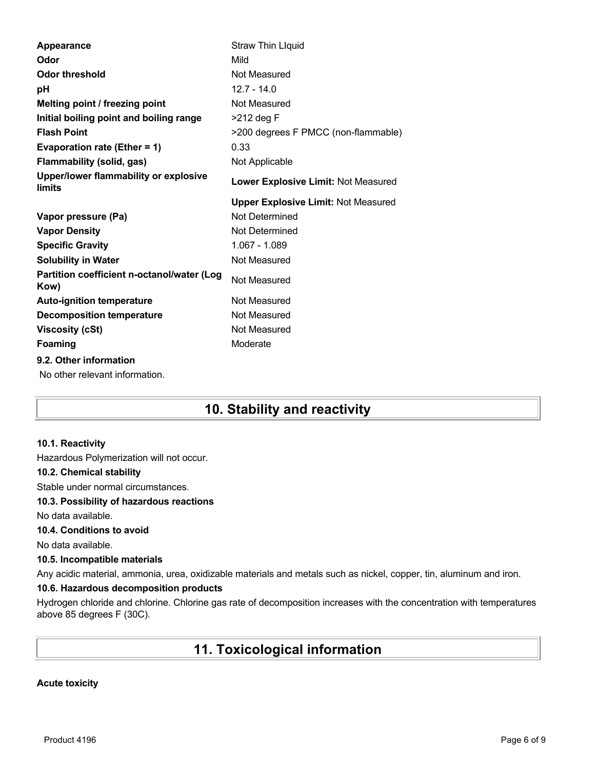| Appearance                                         | <b>Straw Thin Llquid</b>                   |
|----------------------------------------------------|--------------------------------------------|
| Odor                                               | Mild                                       |
| <b>Odor threshold</b>                              | Not Measured                               |
| рH                                                 | $12.7 - 14.0$                              |
| Melting point / freezing point                     | Not Measured                               |
| Initial boiling point and boiling range            | >212 deg F                                 |
| <b>Flash Point</b>                                 | >200 degrees F PMCC (non-flammable)        |
| Evaporation rate (Ether = $1$ )                    | 0.33                                       |
| <b>Flammability (solid, gas)</b>                   | Not Applicable                             |
| Upper/lower flammability or explosive<br>limits    | Lower Explosive Limit: Not Measured        |
|                                                    | <b>Upper Explosive Limit: Not Measured</b> |
| Vapor pressure (Pa)                                | Not Determined                             |
| <b>Vapor Density</b>                               | Not Determined                             |
| <b>Specific Gravity</b>                            | 1.067 - 1.089                              |
| <b>Solubility in Water</b>                         | Not Measured                               |
| Partition coefficient n-octanol/water (Log<br>Kow) | Not Measured                               |
| <b>Auto-ignition temperature</b>                   | Not Measured                               |
| <b>Decomposition temperature</b>                   | Not Measured                               |
| <b>Viscosity (cSt)</b>                             | Not Measured                               |
| Foaming                                            | Moderate                                   |
| 9.2. Other information                             |                                            |
| No other relevant information.                     |                                            |
|                                                    |                                            |

# **10. Stability and reactivity**

#### **10.1. Reactivity**

Hazardous Polymerization will not occur.

#### **10.2. Chemical stability**

Stable under normal circumstances.

#### **10.3. Possibility of hazardous reactions**

No data available.

### **10.4. Conditions to avoid**

No data available.

#### **10.5. Incompatible materials**

Any acidic material, ammonia, urea, oxidizable materials and metals such as nickel, copper, tin, aluminum and iron.

### **10.6. Hazardous decomposition products**

Hydrogen chloride and chlorine. Chlorine gas rate of decomposition increases with the concentration with temperatures above 85 degrees F (30C).

# **11. Toxicological information**

#### **Acute toxicity**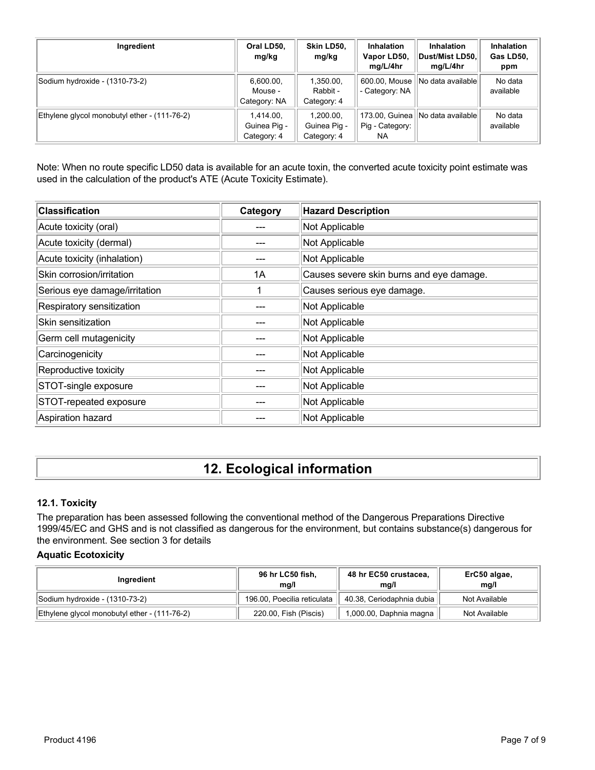| Ingredient                                   | Oral LD50,<br>mg/kg                      | Skin LD50,<br>mg/kg                      | <b>Inhalation</b><br>Vapor LD50,<br>mg/L/4hr | <b>Inhalation</b><br>Dust/Mist LD50,<br>mg/L/4hr | Inhalation<br>Gas LD50,<br>ppm |
|----------------------------------------------|------------------------------------------|------------------------------------------|----------------------------------------------|--------------------------------------------------|--------------------------------|
| Sodium hydroxide - (1310-73-2)               | 6,600.00,<br>Mouse -<br>Category: NA     | 1,350.00,<br>Rabbit -<br>Category: 4     | 600.00, Mouse<br>- Category: NA              | No data available                                | No data<br>available           |
| Ethylene glycol monobutyl ether - (111-76-2) | 1.414.00.<br>Guinea Pig -<br>Category: 4 | 1.200.00.<br>Guinea Pig -<br>Category: 4 | 173.00, Guinea<br>Pig - Category:<br>NA.     | INo data availablel                              | No data<br>available           |

Note: When no route specific LD50 data is available for an acute toxin, the converted acute toxicity point estimate was used in the calculation of the product's ATE (Acute Toxicity Estimate).

| <b>Classification</b>         | Category | <b>Hazard Description</b>                |
|-------------------------------|----------|------------------------------------------|
| Acute toxicity (oral)         |          | Not Applicable                           |
| Acute toxicity (dermal)       |          | Not Applicable                           |
| Acute toxicity (inhalation)   |          | Not Applicable                           |
| Skin corrosion/irritation     | 1A       | Causes severe skin burns and eye damage. |
| Serious eye damage/irritation |          | Causes serious eye damage.               |
| Respiratory sensitization     |          | Not Applicable                           |
| Skin sensitization            |          | Not Applicable                           |
| Germ cell mutagenicity        |          | Not Applicable                           |
| Carcinogenicity               |          | Not Applicable                           |
| Reproductive toxicity         |          | Not Applicable                           |
| STOT-single exposure          |          | Not Applicable                           |
| STOT-repeated exposure        |          | Not Applicable                           |
| Aspiration hazard             |          | Not Applicable                           |

# **12. Ecological information**

### **12.1. Toxicity**

The preparation has been assessed following the conventional method of the Dangerous Preparations Directive 1999/45/EC and GHS and is not classified as dangerous for the environment, but contains substance(s) dangerous for the environment. See section 3 for details

#### **Aquatic Ecotoxicity**

| Ingredient                                   | 96 hr LC50 fish,<br>ma/l    | 48 hr EC50 crustacea,<br>ma/l | ErC50 algae,<br>mq/l |
|----------------------------------------------|-----------------------------|-------------------------------|----------------------|
| Sodium hydroxide - (1310-73-2)               | 196.00, Poecilia reticulata | 40.38, Ceriodaphnia dubia     | Not Available        |
| Ethylene glycol monobutyl ether - (111-76-2) | 220.00, Fish (Piscis)       | 1,000.00, Daphnia magna       | Not Available        |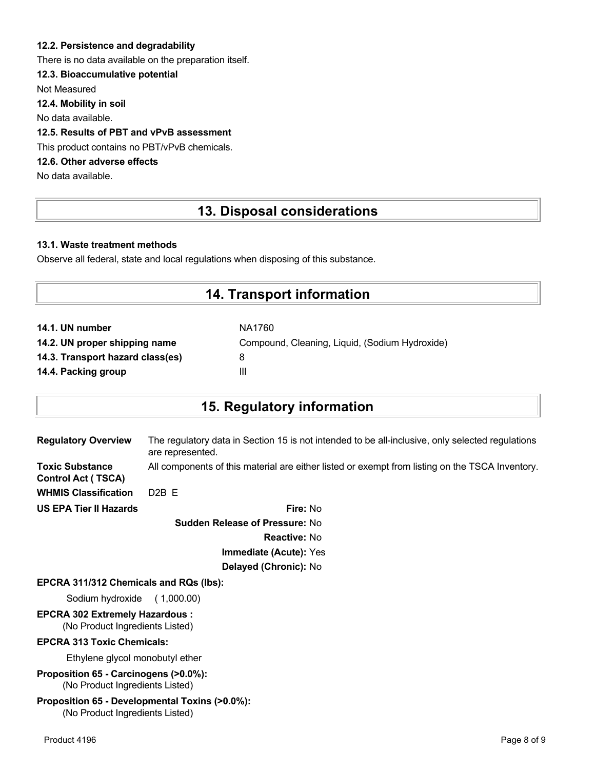### **12.2. Persistence and degradability**

There is no data available on the preparation itself.

## **12.3. Bioaccumulative potential**

Not Measured

**12.4. Mobility in soil**

No data available.

## **12.5. Results of PBT and vPvB assessment**

This product contains no PBT/vPvB chemicals.

## **12.6. Other adverse effects**

No data available.

## **13. Disposal considerations**

### **13.1. Waste treatment methods**

Observe all federal, state and local regulations when disposing of this substance.

## **14. Transport information**

| NA1760                                         |
|------------------------------------------------|
| Compound, Cleaning, Liquid, (Sodium Hydroxide) |
| 8                                              |
| Ш                                              |
|                                                |

## **15. Regulatory information**

| <b>Regulatory Overview</b>                          | The regulatory data in Section 15 is not intended to be all-inclusive, only selected regulations<br>are represented. |
|-----------------------------------------------------|----------------------------------------------------------------------------------------------------------------------|
| <b>Toxic Substance</b><br><b>Control Act (TSCA)</b> | All components of this material are either listed or exempt from listing on the TSCA Inventory.                      |
| <b>WHMIS Classification</b>                         | $D2B$ F                                                                                                              |
| <b>US EPA Tier II Hazards</b>                       | <b>Fire: No</b>                                                                                                      |

**Sudden Release of Pressure:** No **Reactive:** No **Immediate (Acute):** Yes **Delayed (Chronic):** No

#### **EPCRA 311/312 Chemicals and RQs (lbs):**

Sodium hydroxide ( 1,000.00)

# **EPCRA 302 Extremely Hazardous :**

(No Product Ingredients Listed)

#### **EPCRA 313 Toxic Chemicals:**

Ethylene glycol monobutyl ether

**Proposition 65 - Carcinogens (>0.0%):** (No Product Ingredients Listed)

#### **Proposition 65 - Developmental Toxins (>0.0%):** (No Product Ingredients Listed)